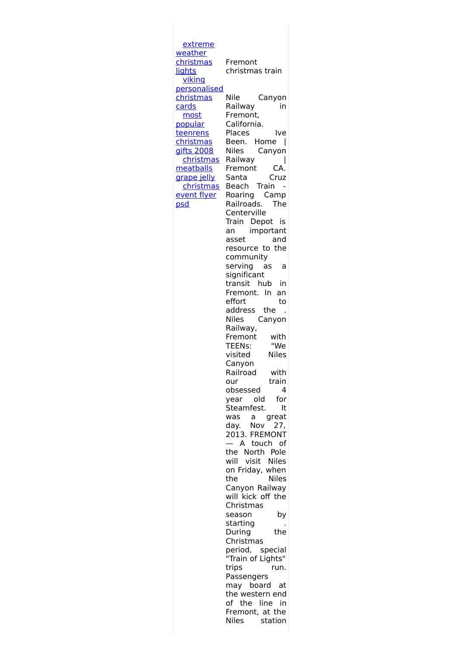extreme weather [christmas](http://foto-ms.pl/detail/news/330443/chrismas/) **lights** viking [personalised](http://foto-ms.pl/detail/news/543045/chrismas/) christmas cards most popular teenrens [christmas](http://foto-ms.pl/detail/news/057138/chrismas/) gifts 2008 christmas [meatballs](http://foto-ms.pl/detail/news/623903/chrismas/) grape jelly [christmas](http://foto-ms.pl/detail/news/853731/chrismas/) event flyer psd Fremont christmas train Nile Canyon Railway in Fremont, California. Places Ive Been. Home | Niles Canyon Railway | Fremont CA. Santa Cruz Beach Train - Roaring Camp Railroads. The Centerville Train Depot is an important asset and resource to the community serving as a significant transit hub in Fremont. In an effort to address the . Niles Canyon Railway, Fremont with<br>TEENs: "We TEENs: "We<br>visited Niles visited Canyon Railroad with our train obsessed 4 year old for Steamfest. It was a great day. Nov 27, 2013. FREMONT — A touch of the North Pole will visit Niles on Friday, when the Niles Canyon Railway will kick off the Christmas season by starting . During the Christmas period, special "Train of Lights" trips run. Passengers may board at the western end of the line in Fremont, at the Niles station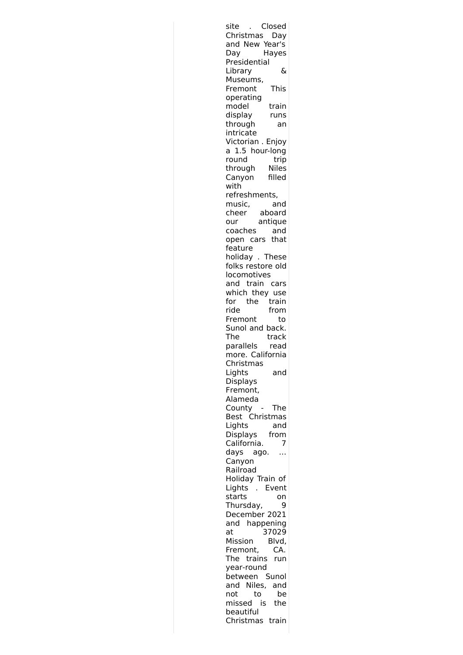| site<br>Closed         |  |
|------------------------|--|
| Christmas<br>Day       |  |
| and New Year's         |  |
| Hayes<br>Day           |  |
| Presidential           |  |
| &<br>Library           |  |
| Museums,               |  |
| <b>This</b><br>Fremont |  |
| operating              |  |
| model<br>train         |  |
| display<br>runs        |  |
| through<br>an          |  |
| intricate              |  |
| Victorian . Enjoy      |  |
| a 1.5 hour-long        |  |
|                        |  |
| trip<br>round          |  |
| Niles<br>through       |  |
| Canyon<br>filled       |  |
| with                   |  |
| refreshments,          |  |
| music,<br>and          |  |
| aboard<br><br>cheer    |  |
| antique<br>our         |  |
| coaches<br>and         |  |
| open cars that         |  |
| feature                |  |
| holiday . These        |  |
| folks restore old      |  |
| locomotives            |  |
| and train cars         |  |
| which they use         |  |
| for<br>the<br>train    |  |
| ride<br>from           |  |
|                        |  |
| Fremont<br>to          |  |
| Sunol and back.        |  |
| The<br>track           |  |
| parallels<br>read      |  |
| more. California       |  |
| Christmas              |  |
| Lights<br>and          |  |
| Displays               |  |
| Fremont,               |  |
| Alameda                |  |
| County<br>The          |  |
| Christmas<br>Best      |  |
| Lights<br>and          |  |
| Displays<br>from       |  |
| California.<br>7       |  |
| days<br>ago.           |  |
| Canyon                 |  |
| Railroad               |  |
| Holiday Train of       |  |
| Lights<br>Event        |  |
| starts<br>on           |  |
| Thursday,<br>9         |  |
| December 2021          |  |
|                        |  |
| and<br>happening       |  |
| 37029<br>at            |  |
| Mission<br>Blvd,       |  |
| Fremont,<br>CA.        |  |
| The<br>trains<br>run   |  |
| year-round             |  |
| between Sunol          |  |
| and Niles,<br>and      |  |
| not<br>to<br>be        |  |
| missed<br>is<br>the    |  |
| beautiful              |  |
| Christmas train        |  |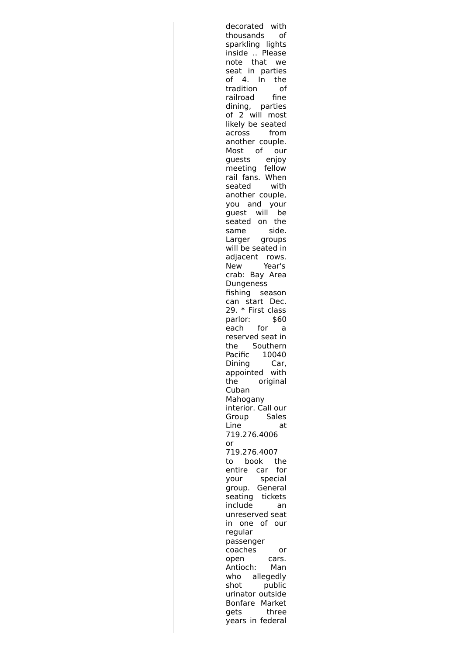decorated with thousands of sparkling lights inside .. Please note that we seat in parties of 4. In the tradition of railroad fine dining, parties of 2 will most likely be seated across from another couple. Most of our guests enjoy meeting fellow rail fans. When seated with another couple, you and your guest will be seated on the same side. Larger groups will be seated in adjacent rows. New Year's crab: Bay Area Dungeness fishing season can start Dec. 29. \* First class parlor: \$60 each for a reserved seat in the Southern Pacific 10040 Dining Car, appointed with the original Cuban Mahogany interior. Call our Group Sales Line at 719.276.4006 or 719.276.4007 to book the entire car for your special group. General seating tickets include an unreserved seat in one of our regular passenger coaches or open cars. Antioch: Man who allegedly shot public urinator outside Bonfare Market gets three years in federal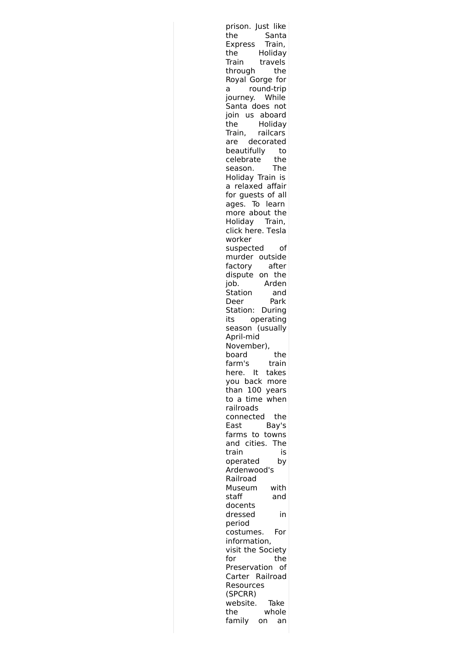prison. Just like the Santa Express Train, the Holiday<br>Train travels travels through the Royal Gorge for a round-trip journey. While Santa does not join us aboard the Holiday Train, railcars are decorated beautifully to celebrate the season. The Holiday Train is a relaxed affair for guests of all ages. To learn more about the Holiday Train, click here. Tesla worker suspected of murder outside factory after dispute on the job. Arden Station and Deer Park Station: During its operating season (usually April-mid November), board the farm's train here. It takes you back more than 100 years to a time when railroads connected the East Bay's farms to towns and cities. The train is operated by Ardenwood's Railroad Museum with staff and docents dressed in period costumes. For information, visit the Society for the Preservation of Carter Railroad Resources (SPCRR) website. Take the whole family on an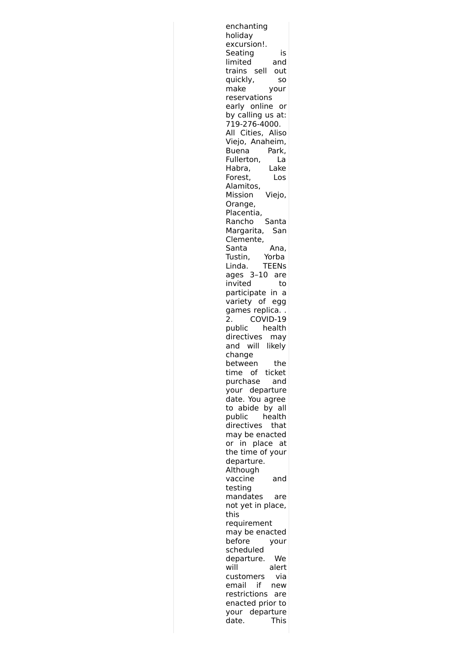| enchanting                              |  |
|-----------------------------------------|--|
| holiday                                 |  |
| excursion!.                             |  |
| Seating<br>is                           |  |
| limited<br>and                          |  |
| trains sell<br>out                      |  |
| quickly,<br>SO                          |  |
| make<br>your                            |  |
| reservations                            |  |
| early online or                         |  |
| by calling us at:                       |  |
| 719-276-4000.                           |  |
| All Cities, Aliso                       |  |
| Viejo, Anaheim,                         |  |
| Park,<br>Buena                          |  |
| Fullerton,<br>La                        |  |
| Habra,<br>Lake                          |  |
| Forest,<br>Los                          |  |
| Alamitos,                               |  |
| Mission<br>Viejo,                       |  |
| Orange,                                 |  |
| Placentia,                              |  |
| Rancho<br>Santa<br>San                  |  |
| Margarita,<br>Clemente,                 |  |
| Santa                                   |  |
| Ana,<br>Tustin,<br>Yorba                |  |
| <b>TEENs</b><br>Linda.                  |  |
| ages 3-10 are                           |  |
| invited<br>to                           |  |
| participate in<br>a                     |  |
| variety of<br>egg                       |  |
| games replica                           |  |
| COVID-19<br>2.                          |  |
| public<br>health                        |  |
| directives<br>may                       |  |
| will likely<br>and                      |  |
| change                                  |  |
| between<br>the                          |  |
| time of ticket                          |  |
| purchase<br>and                         |  |
| your departure                          |  |
| date. You agree                         |  |
| to abide by all                         |  |
| public<br>health                        |  |
| directives<br>that                      |  |
| may be enacted                          |  |
| in place at<br>or                       |  |
| the time of your                        |  |
| departure.                              |  |
| Although                                |  |
| vaccine<br>and                          |  |
| testing                                 |  |
| mandates<br>are                         |  |
| not yet in place,                       |  |
|                                         |  |
| this                                    |  |
| requirement                             |  |
| may be enacted                          |  |
| before<br>your                          |  |
| scheduled                               |  |
| departure.<br>We                        |  |
| will<br>alert                           |  |
| via<br>customers                        |  |
| if<br>email<br>new                      |  |
| restrictions<br>are<br>enacted prior to |  |
| your departure                          |  |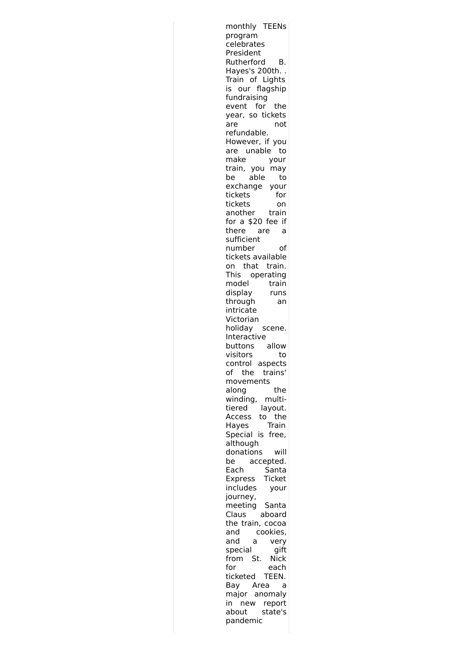monthly TEENs program celebrates President Rutherford B. Hayes's 200th. . Train of Lights is our flagship fundraising event for the year, so tickets are not refundable. However, if you are unable to make your train, you may be able to exchange your tickets for tickets on another train for a \$20 fee if there are a sufficient number of tickets available on that train. This operating model train display runs through an intricate Victorian holiday scene. Interactive buttons allow visitors to control aspects of the trains' movements along the winding, multitiered layout. Access to the Hayes Train Special is free, although donations will be accepted. Each Santa Express Ticket includes your journey, meeting Santa Claus aboard the train, cocoa and cookies, and a very special gift from St. Nick for each ticketed TEEN. Bay Area a major anomaly in new report about state's pandemic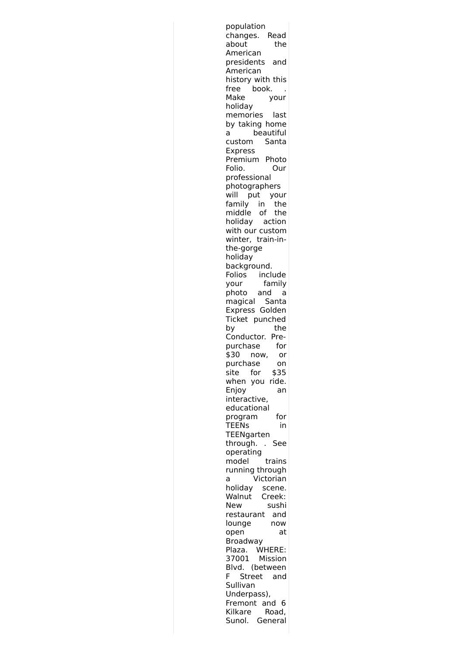population changes. Read<br>about the about American presidents and American history with this free book. Make your holiday memories last by taking home a beautiful custom Santa Express Premium Photo Folio. Our professional photographers will put your family in the middle of the holiday action with our custom winter, train-inthe-gorge holiday background. Folios include your family photo and a magical Santa Express Golden Ticket punched by the Conductor. Prepurchase for \$30 now, or purchase on site for \$35 when you ride. Enjoy an interactive, educational program for TEENs in TEENgarten through. . See operating model trains running through a Victorian holiday scene. Walnut Creek: New sushi restaurant and lounge now open at Broadway Plaza. WHERE: 37001 Mission Blvd. (between F Street and Sullivan Underpass), Fremont and 6 Kilkare Road, Sunol. General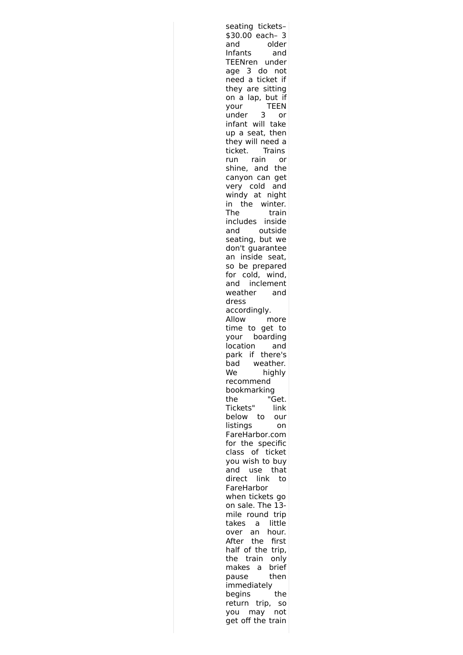seating tickets– \$30.00 each– 3 and older Infants and TEENren under age 3 do not need a ticket if they are sitting on a lap, but if your TEEN under 3 or infant will take up a seat, then they will need a ticket. Trains run rain or shine, and the canyon can get very cold and windy at night in the winter. The train includes inside and outside seating, but we don't guarantee an inside seat, so be prepared for cold, wind, and inclement weather and dress accordingly. Allow more time to get to your boarding location and park if there's<br>bad weather. weather. We highly recommend bookmarking the "Get. Tickets" link below to our listings on FareHarbor.com for the specific class of ticket you wish to buy and use that direct link to FareHarbor when tickets go on sale. The 13 mile round trip takes a little over an hour. After the first half of the trip, the train only makes a brief pause then immediately begins the return trip, so you may not get off the train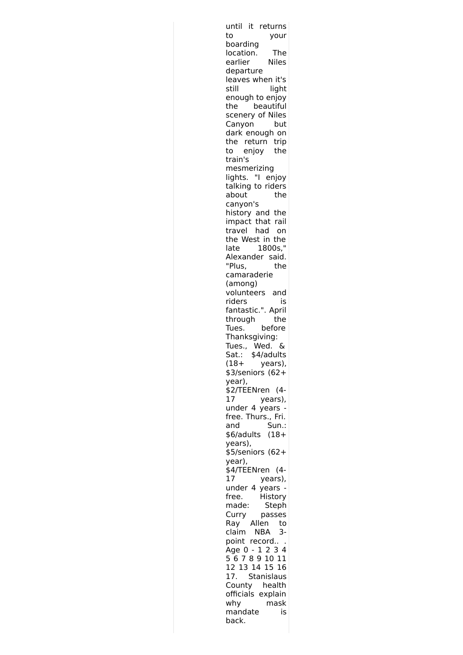| until it returns                       |
|----------------------------------------|
| to<br>your<br>boarding                 |
| location.<br>The                       |
| <b>Niles</b><br>earlier<br>departure   |
| leaves when it's                       |
| still<br>light<br>enough to enjoy      |
| beautiful<br>the                       |
| scenery of Niles                       |
| Canyon<br>but<br>dark enough on        |
| return trip<br>the                     |
| enjoy<br>the<br>to<br>train's          |
| mesmerizing                            |
| lights. "I enjoy                       |
| talking to riders<br>about<br>the      |
| canyon's                               |
| history and the<br>impact that rail    |
| travel<br>had<br>on                    |
| the West in the                        |
| 1800s,"<br>late<br>Alexander said.     |
| "Plus,<br>the                          |
| camaraderie<br>(among)                 |
| volunteers and                         |
| riders<br>is                           |
| fantastic.". April<br>through<br>the   |
| before<br>Tues.                        |
| Thanksgiving:<br>Wed.<br>Tues.,<br>&   |
| Sat.: \$4/adults                       |
| $(18 +$<br>years),<br>\$3/seniors (62+ |
| year),                                 |
| \$2/TEENren<br>$(4 -$                  |
| 17<br>years),<br>under 4 years         |
| free. Thurs., Fri.                     |
| Sun.:<br>and<br>$(18 +$<br>\$6/adults  |
| years),                                |
| $$5/s$ eniors (62+<br>year),           |
| \$4/TEENren<br>$(4 -$                  |
| 17<br>years),                          |
| under 4<br>years<br>History<br>free.   |
| made:<br>Steph                         |
| Curry<br>passes<br>Allen<br>to<br>Ray  |
| claim NBA<br>3-                        |
| point record                           |
| Age 0 - 1 2 3 4                        |
| 12 13 14 15 16                         |
| <b>Stanislaus</b><br>17.               |
| County health<br>officials explain     |
| why<br>mask<br>mandate<br>is           |
| back.                                  |
|                                        |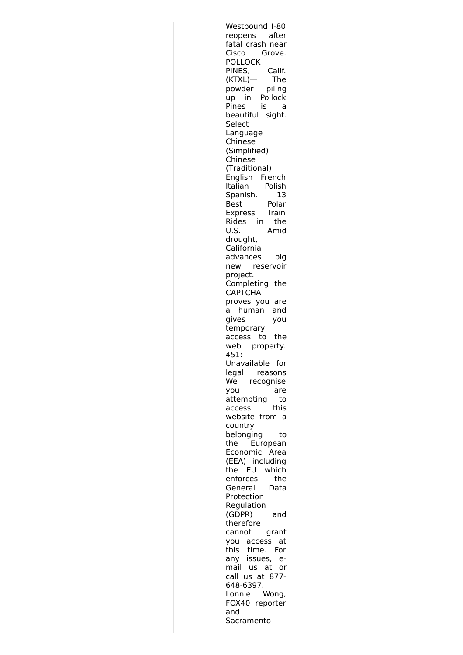Westbound I-80 reopens after fatal crash near<br>Cisco Grove. Grove. POLLOCK PINES, Calif. (KTXL)— The powder piling up in Pollock Pines is a beautiful sight. Select Language Chinese (Simplified) Chinese (Traditional) English French Italian Polish Spanish. 13 Best Polar Express Train Rides in the U.S. Amid drought, California advances big new reservoir project. Completing the CAPTCHA proves you are a human and gives you temporary access to the web property. 451: Unavailable for legal reasons We recognise you are attempting to access this website from a country belonging to the European Economic Area (EEA) including the EU which enforces the General Data Protection Regulation (GDPR) and therefore cannot grant you access at this time. For any issues, e mail us at or call us at 877- 648-6397. Lonnie Wong, FOX40 reporter and Sacramento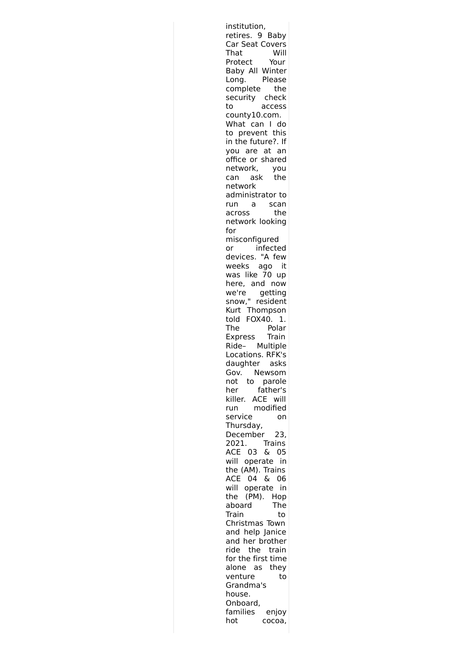institution, retires. 9 Baby Car Seat Covers That Will<br>Protect Your Protect Baby All Winter Long. Please complete the security check to access county10.com. What can I do to prevent this in the future?. If you are at an office or shared network, you can ask the network administrator to run a scan across the network looking for misconfigured or infected devices. "A few weeks ago it was like 70 up here, and now we're getting snow," resident Kurt Thompson told FOX40. 1. The Polar<br>Express Train Express Ride– Multiple Locations. RFK's daughter asks Gov. Newsom not to parole her father's killer. ACE will run modified service on Thursday, December 23, 2021. Trains ACE 03 & 05 will operate in the (AM). Trains ACE 04 & 06 will operate in the (PM). Hop aboard The Train to Christmas Town and help Janice and her brother ride the train for the first time alone as they venture to Grandma's house. Onboard, families enjoy hot cocoa,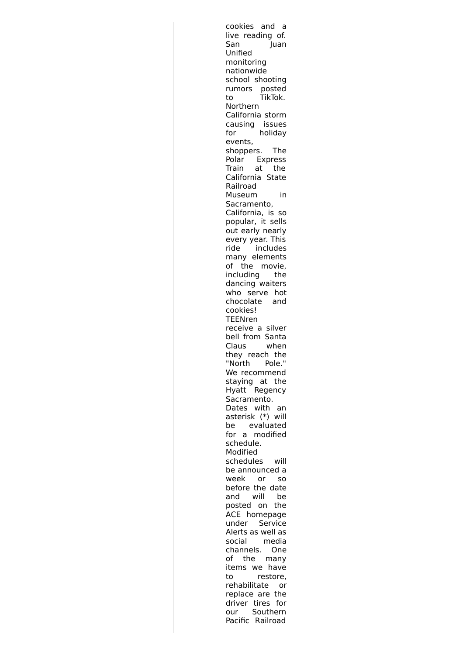cookies and a live reading of. San Juan Unified monitoring nationwide school shooting rumors posted to TikTok. Northern California storm causing issues for holiday events, shoppers. The Polar Express Train at the California State Railroad Museum in Sacramento, California, is so popular, it sells out early nearly every year. This ride includes many elements of the movie, including the dancing waiters who serve hot chocolate and cookies! TEENren receive a silver bell from Santa Claus when they reach the "North Pole." We recommend staying at the Hyatt Regency Sacramento. Dates with an asterisk (\*) will be evaluated for a modified schedule. Modified schedules will be announced a week or so before the date and will be posted on the ACE homepage under Service Alerts as well as social media channels. One of the many items we have to restore, rehabilitate or replace are the driver tires for our Southern Pacific Railroad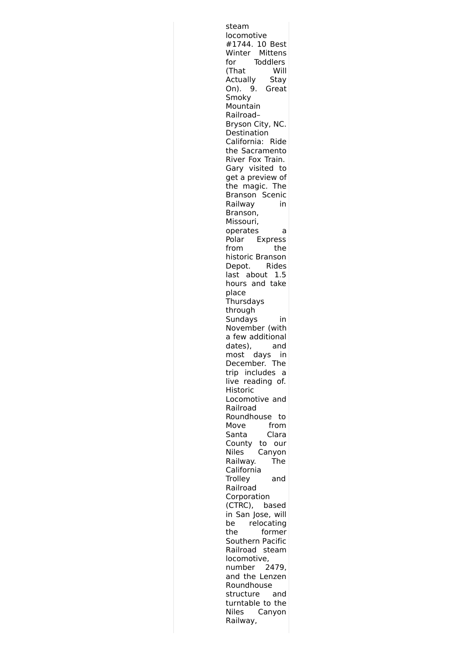steam locomotive #1744. 10 Best Winter Mittens for Toddlers (That Will Actually Stay On). 9. Great Smoky Mountain Railroad– Bryson City, NC. **Destination** California: Ride the Sacramento River Fox Train. Gary visited to get a preview of the magic. The Branson Scenic Railway in Branson, Missouri, operates a Polar Express from the historic Branson Depot. Rides last about 1.5 hours and take place **Thursdays** through Sundays in November (with a few additional dates), and most days in December. The trip includes a live reading of. Historic Locomotive and Railroad Roundhouse to Move from Santa Clara County to our Niles Canyon Railway. The California Trolley and Railroad Corporation (CTRC), based in San Jose, will be relocating the former Southern Pacific Railroad steam locomotive, number 2479, and the Lenzen Roundhouse structure and turntable to the Niles Canyon Railway,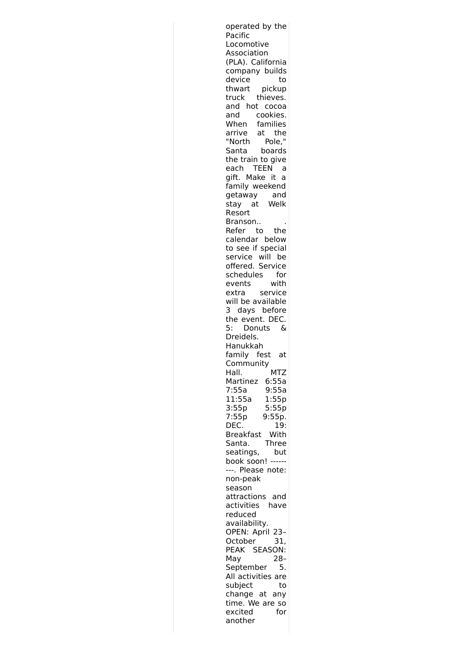| operated by the                                |  |
|------------------------------------------------|--|
| Pacific<br>Locomotive                          |  |
| Association                                    |  |
| (PLA). California                              |  |
| company builds                                 |  |
| device<br>to                                   |  |
| thwart pickup                                  |  |
| truck thieves.                                 |  |
| and hot<br>cocoa                               |  |
| cookies.<br>and                                |  |
| When families<br>the                           |  |
| arrive at the<br>"North Pole,"<br>Santa boards |  |
|                                                |  |
| the train to give                              |  |
| each TEEN<br>a                                 |  |
| gift. Make it a                                |  |
| family weekend                                 |  |
| getaway and<br>stay at Welk                    |  |
| Resort                                         |  |
| Branson                                        |  |
| Refer to the                                   |  |
| calendar below                                 |  |
| to see if special<br>service will be           |  |
|                                                |  |
| offered. Service                               |  |
| schedules<br>for                               |  |
| with<br>events<br>extra service                |  |
| will be available                              |  |
| 3 days before                                  |  |
| the event. DEC.                                |  |
| 5: Donuts<br>ିଧ                                |  |
| Dreidels.                                      |  |
| Hanukkah<br>family fest<br>at                  |  |
| Community                                      |  |
| Hall.<br>MTZ                                   |  |
| Martinez<br>6:55a                              |  |
| 9:55a<br>7:55a                                 |  |
| 1:55p<br>11:55a                                |  |
| 3:55p<br>5:55p                                 |  |
| 7:55p<br>9:55p.<br>DEC.                        |  |
| 19:<br><b>Breakfast</b><br>With                |  |
| Santa.<br>Three                                |  |
| seatings,<br>but                               |  |
| book soon!                                     |  |
|                                                |  |
| ---. Please note:                              |  |
| non-peak                                       |  |
| season                                         |  |
| attractions and                                |  |
| have<br>activities                             |  |
| reduced<br>availability.                       |  |
| OPEN: April 23-                                |  |
| October<br>31,                                 |  |
| PEAK SEASON:                                   |  |
| May<br>28–                                     |  |
| September<br>5.                                |  |
| All activities are                             |  |
| subject<br>to<br>change at any                 |  |
| time. We are so                                |  |
| excited<br>for                                 |  |
| another                                        |  |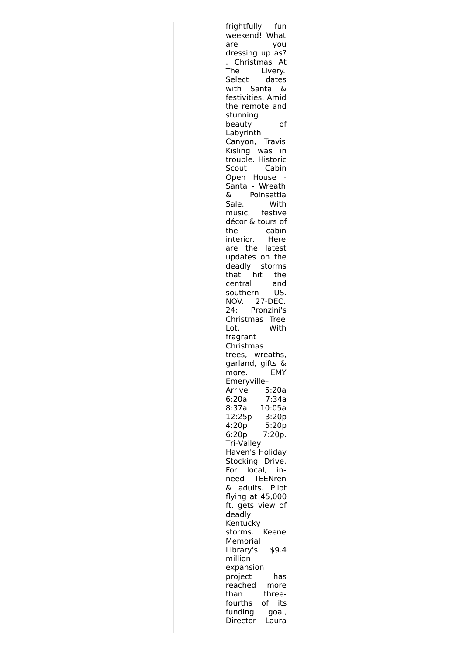frightfully fun weekend! What are you dressing up as? . Christmas At<br>The Livery. Livery. Select dates with Santa & festivities. Amid the remote and stunning beauty of Labyrinth Canyon, Travis Kisling was in trouble. Historic Scout Cabin Open House - Santa - Wreath & Poinsettia Sale. With music, festive décor & tours of the cabin interior. Here are the latest updates on the deadly storms that hit the central and southern US. NOV. 27-DEC.<br>24: Pronzini's Pronzini's Christmas Tree Lot. With fragrant Christmas trees, wreaths, garland, gifts & more. EMY Emeryville– Arrive 5:20a 6:20a 7:34a 8:37a 10:05a 12:25p 3:20p 4:20p 5:20p 6:20p 7:20p. Tri-Valley Haven's Holiday Stocking Drive. For local, inneed TEENren & adults. Pilot flying at 45,000 ft. gets view of deadly Kentucky storms. Keene Memorial Library's \$9.4 million expansion project has reached more than threefourths of its funding goal, Director Laura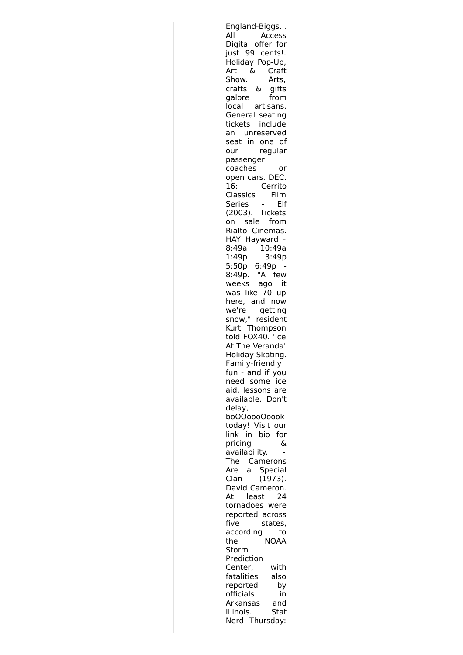| England-Biggs                         |
|---------------------------------------|
| All<br>Access                         |
| Digital offer for                     |
| just 99 cents!.                       |
| Holiday Pop-Up,                       |
| Craft<br>&<br>Art                     |
| Show.<br>Arts,<br>$\delta$            |
| crafts<br>gifts<br>galore<br>from     |
| local<br>artisans.                    |
| General seating                       |
| tickets include                       |
| unreserved<br>an                      |
| in one of<br>seat                     |
| regular<br>our                        |
| passenger                             |
| coaches<br>or                         |
| open cars. DEC.                       |
| 16:<br>Cerrito                        |
| Classics<br>Film                      |
| Series<br>Elf                         |
| (2003). Tickets                       |
| sale<br>from<br>on<br>Rialto Cinemas. |
| HAY Hayward                           |
| 10:49a<br>8:49a                       |
| 1:49p<br>3:49p                        |
| 5:50p<br>6:49p                        |
| "A<br>8:49p.<br>few                   |
| weeks ago<br>it                       |
| was like 70<br>up                     |
| here, and now                         |
| we're<br>getting                      |
| snow," resident<br>Kurt Thompson      |
|                                       |
| told FOX40. 'Ice                      |
| At The Veranda'                       |
| Holiday Skating.<br>Family-friendly   |
| fun - and if you                      |
| need some<br>ice                      |
| aid, lessons are                      |
| available. Don't                      |
| delay,                                |
| boOOoooOoook                          |
| today! Visit our                      |
| bio<br>link in<br>for                 |
| pricing<br>&                          |
| availability.                         |
| Camerons<br>The                       |
| Special<br>Are<br>a                   |
| Clan<br>(1973).                       |
| David Cameron.<br>At<br>least<br>24   |
| tornadoes were                        |
| reported across                       |
| five<br>states,                       |
| according<br>to                       |
| NOAA<br>the                           |
| Storm                                 |
| Prediction                            |
| Center,<br>with                       |
| fatalities<br>also                    |
| reported<br>by                        |
| officials<br>in                       |
| Arkansas<br>and                       |
| Illinois.<br>Stat                     |
| Nerd Thursday:                        |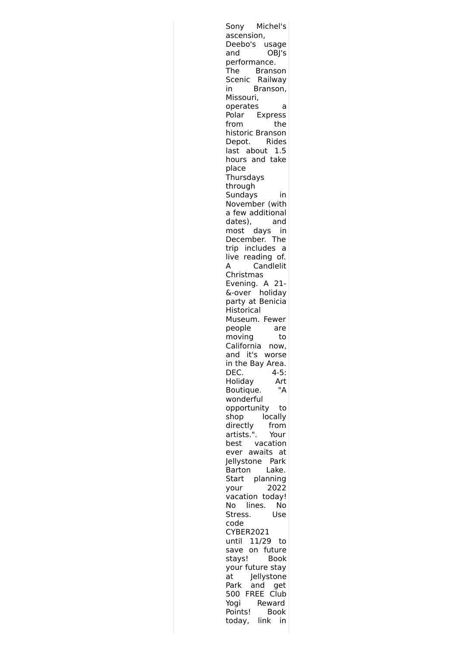Sony Michel's ascension, Deebo's usage and OBJ's performance. The Branson Scenic Railway in Branson, Missouri, operates a Polar Express from the historic Branson Depot. Rides last about 1.5 hours and take place Thursdays through Sundays in November (with a few additional dates), and most days in December. The trip includes a live reading of. A Candlelit Christmas Evening. A 21- &-over holiday party at Benicia **Historical** Museum. Fewer people are moving to California now, and it's worse in the Bay Area. DEC. 4-5: Holiday Art<br>Boutique. "A Boutique. wonderful opportunity to shop locally directly from artists.". Your best vacation ever awaits at Jellystone Park Barton Lake. Start planning your 2022 vacation today! No lines. No Stress. Use code CYBER2021 until 11/29 to save on future stays! Book your future stay at Jellystone Park and get 500 FREE Club Yogi Reward Points! Book today, link in